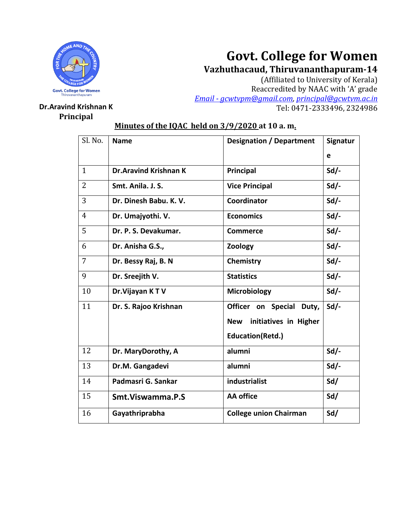

# **Govt. College for Women**

**Vazhuthacaud, Thiruvananthapuram-14**

(Affiliated to University of Kerala) Reaccredited by NAAC with 'A' grade *Email - [gcwtvpm@gmail.com,](mailto:Email%20-%20gcwtvpm@gmail.com) [principal@gcwtvm.ac.in](mailto:principal@gcwtvm.ac.in)* **Dr.Aravind Krishnan K** Tel: 0471-2333496, 2324986

## **Principal**

## **Minutes of the IQAC held on 3/9/2020 at 10 a. m.**

| Sl. No.        | <b>Name</b>                  | <b>Designation / Department</b>     | Signatur |
|----------------|------------------------------|-------------------------------------|----------|
|                |                              |                                     | e        |
| $\mathbf{1}$   | <b>Dr.Aravind Krishnan K</b> | Principal                           | $Sd/-$   |
| $\overline{2}$ | Smt. Anila. J. S.            | <b>Vice Principal</b>               | $Sd/-$   |
| 3              | Dr. Dinesh Babu. K. V.       | Coordinator                         | $Sd/-$   |
| $\overline{4}$ | Dr. Umajyothi. V.            | <b>Economics</b>                    | $Sd$ -   |
| 5              | Dr. P. S. Devakumar.         | <b>Commerce</b>                     | $Sd/-$   |
| 6              | Dr. Anisha G.S.,             | Zoology                             | $Sd$ .   |
| $\overline{7}$ | Dr. Bessy Raj, B. N          | Chemistry                           | $Sd/-$   |
| 9              | Dr. Sreejith V.              | <b>Statistics</b>                   | $Sd$ .   |
| 10             | Dr. Vijayan KTV              | Microbiology                        | $Sd/-$   |
| 11             | Dr. S. Rajoo Krishnan        | Officer on Special Duty,            | $Sd/-$   |
|                |                              | initiatives in Higher<br><b>New</b> |          |
|                |                              | <b>Education(Retd.)</b>             |          |
| 12             | Dr. MaryDorothy, A           | alumni                              | $Sd$ .   |
| 13             | Dr.M. Gangadevi              | alumni                              | $Sd/-$   |
| 14             | Padmasri G. Sankar           | industrialist                       | Sd/      |
| 15             | Smt. Viswamma. P.S           | <b>AA</b> office                    | Sd/      |
| 16             | Gayathriprabha               | <b>College union Chairman</b>       | Sd/      |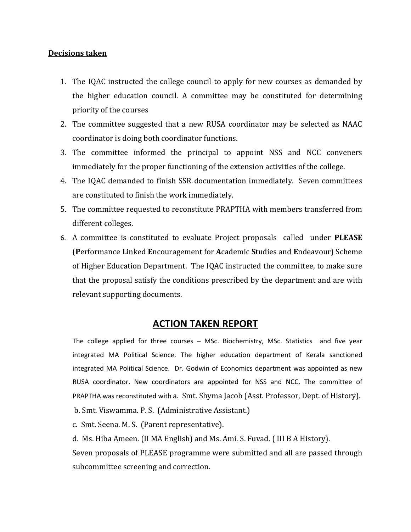#### **Decisions taken**

- 1. The IQAC instructed the college council to apply for new courses as demanded by the higher education council. A committee may be constituted for determining priority of the courses
- 2. The committee suggested that a new RUSA coordinator may be selected as NAAC coordinator is doing both coordinator functions.
- 3. The committee informed the principal to appoint NSS and NCC conveners immediately for the proper functioning of the extension activities of the college.
- 4. The IQAC demanded to finish SSR documentation immediately. Seven committees are constituted to finish the work immediately.
- 5. The committee requested to reconstitute PRAPTHA with members transferred from different colleges.
- 6. A committee is constituted to evaluate Project proposals called under **PLEASE** (**P**erformance **L**inked **E**ncouragement for **A**cademic **S**tudies and **E**ndeavour) Scheme of Higher Education Department. The IQAC instructed the committee, to make sure that the proposal satisfy the conditions prescribed by the department and are with relevant supporting documents.

### **ACTION TAKEN REPORT**

The college applied for three courses – MSc. Biochemistry, MSc. Statistics and five year integrated MA Political Science. The higher education department of Kerala sanctioned integrated MA Political Science. Dr. Godwin of Economics department was appointed as new RUSA coordinator. New coordinators are appointed for NSS and NCC. The committee of PRAPTHA was reconstituted with a. Smt. Shyma Jacob (Asst. Professor, Dept. of History). b. Smt. Viswamma. P. S. (Administrative Assistant.)

c. Smt. Seena. M. S. (Parent representative).

d. Ms. Hiba Ameen. (II MA English) and Ms. Ami. S. Fuvad. ( III B A History).

Seven proposals of PLEASE programme were submitted and all are passed through subcommittee screening and correction.